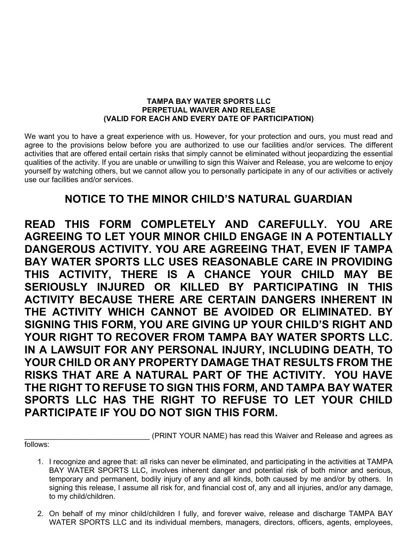## TAMPA BAY WATER SPORTS LLC PERPETUAL WAIVER AND RELEASE (VALID FOR EACH AND EVERY DATE OF PARTICIPATION)

We want you to have a great experience with us. However, for your protection and ours, you must read and agree to the provisions below before you are authorized to use our facilities and/or services. The different activities that are offered entail certain risks that simply cannot be eliminated without jeopardizing the essential qualities of the activity. If you are unable or unwilling to sign this Waiver and Release, you are welcome to enjoy yourself by watching others, but we cannot allow you to personally participate in any of our activities or actively use our facilities and/or services.

## NOTICE TO THE MINOR CHILD'S NATURAL GUARDIAN

READ THIS FORM COMPLETELY AND CAREFULLY. YOU ARE AGREEING TO LET YOUR MINOR CHILD ENGAGE IN A POTENTIALLY DANGEROUS ACTIVITY. YOU ARE AGREEING THAT, EVEN IF TAMPA BAY WATER SPORTS LLC USES REASONABLE CARE IN PROVIDING THIS ACTIVITY, THERE IS A CHANCE YOUR CHILD MAY BE SERIOUSLY INJURED OR KILLED BY PARTICIPATING IN THIS ACTIVITY BECAUSE THERE ARE CERTAIN DANGERS INHERENT IN THE ACTIVITY WHICH CANNOT BE AVOIDED OR ELIMINATED. BY SIGNING THIS FORM, YOU ARE GIVING UP YOUR CHILD'S RIGHT AND YOUR RIGHT TO RECOVER FROM TAMPA BAY WATER SPORTS LLC. IN A LAWSUIT FOR ANY PERSONAL INJURY, INCLUDING DEATH, TO YOUR CHILD OR ANY PROPERTY DAMAGE THAT RESULTS FROM THE RISKS THAT ARE A NATURAL PART OF THE ACTIVITY. YOU HAVE THE RIGHT TO REFUSE TO SIGN THIS FORM, AND TAMPA BAY WATER SPORTS LLC HAS THE RIGHT TO REFUSE TO LET YOUR CHILD PARTICIPATE IF YOU DO NOT SIGN THIS FORM.

follows:

(PRINT YOUR NAME) has read this Waiver and Release and agrees as

- 1. I recognize and agree that: all risks can never be eliminated, and participating in the activities at TAMPA BAY WATER SPORTS LLC, involves inherent danger and potential risk of both minor and serious, temporary and permanent, bodily injury of any and all kinds, both caused by me and/or by others. In signing this release, I assume all risk for, and financial cost of, any and all injuries, and/or any damage, to my child/children.
- 2. On behalf of my minor child/children I fully, and forever waive, release and discharge TAMPA BAY WATER SPORTS LLC and its individual members, managers, directors, officers, agents, employees,